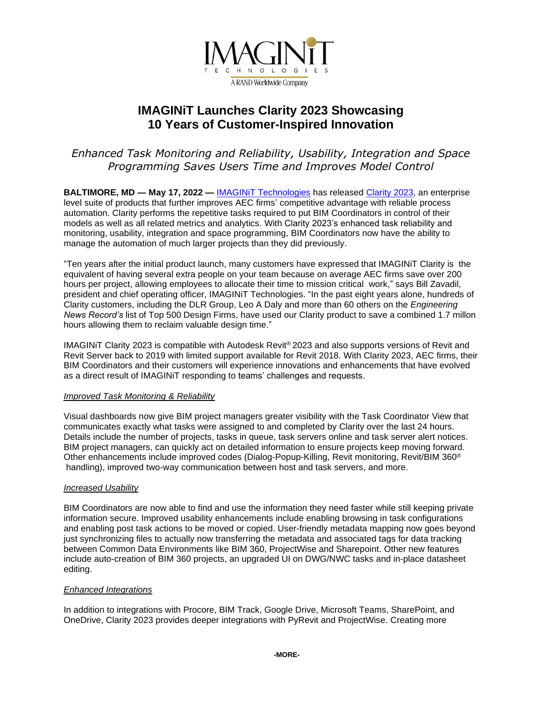

# **IMAGINiT Launches Clarity 2023 Showcasing 10 Years of Customer-Inspired Innovation**

## *Enhanced Task Monitoring and Reliability, Usability, Integration and Space Programming Saves Users Time and Improves Model Control*

**BALTIMORE, MD ― May 17, 2022 —** [IMAGINiT Technologies](http://www.imaginit.com/?utm_source=dynamic&utm_medium=press-release&utm_campaign=clarity-2023) has released [Clarity 2023,](https://www.imaginit.com/software/imaginit-utilities-other-products/clarity/overview?utm_source=dynamic&utm_medium=press-release&utm_campaign=clarity-2023) an enterprise level suite of products that further improves AEC firms' competitive advantage with reliable process automation. Clarity performs the repetitive tasks required to put BIM Coordinators in control of their models as well as all related metrics and analytics. With Clarity 2023's enhanced task reliability and monitoring, usability, integration and space programming, BIM Coordinators now have the ability to manage the automation of much larger projects than they did previously.

"Ten years after the initial product launch, many customers have expressed that IMAGINiT Clarity is the equivalent of having several extra people on your team because on average AEC firms save over 200 hours per project, allowing employees to allocate their time to mission critical work," says Bill Zavadil, president and chief operating officer, IMAGINiT Technologies. "In the past eight years alone, hundreds of Clarity customers, including the DLR Group, Leo A Daly and more than 60 others on the *Engineering News Record's* list of Top 500 Design Firms, have used our Clarity product to save a combined 1.7 millon hours allowing them to reclaim valuable design time."

IMAGINiT Clarity 2023 is compatible with Autodesk Revit® 2023 and also supports versions of Revit and Revit Server back to 2019 with limited support available for Revit 2018. With Clarity 2023, AEC firms, their BIM Coordinators and their customers will experience innovations and enhancements that have evolved as a direct result of IMAGINiT responding to teams' challenges and requests.

## *Improved Task Monitoring & Reliability*

Visual dashboards now give BIM project managers greater visibility with the Task Coordinator View that communicates exactly what tasks were assigned to and completed by Clarity over the last 24 hours. Details include the number of projects, tasks in queue, task servers online and task server alert notices. BIM project managers, can quickly act on detailed information to ensure projects keep moving forward. Other enhancements include improved codes (Dialog-Popup-Killing, Revit monitoring, Revit/BIM 360® handling), improved two-way communication between host and task servers, and more.

#### *Increased Usability*

BIM Coordinators are now able to find and use the information they need faster while still keeping private information secure. Improved usability enhancements include enabling browsing in task configurations and enabling post task actions to be moved or copied. User-friendly metadata mapping now goes beyond just synchronizing files to actually now transferring the metadata and associated tags for data tracking between Common Data Environments like BIM 360, ProjectWise and Sharepoint. Other new features include auto-creation of BIM 360 projects, an upgraded UI on DWG/NWC tasks and in-place datasheet editing.

#### *Enhanced Integrations*

In addition to integrations with Procore, BIM Track, Google Drive, Microsoft Teams, SharePoint, and OneDrive, Clarity 2023 provides deeper integrations with PyRevit and ProjectWise. Creating more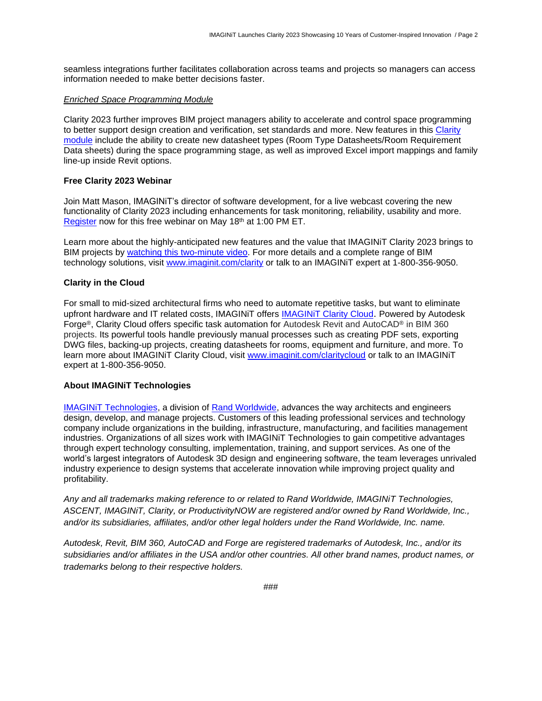seamless integrations further facilitates collaboration across teams and projects so managers can access information needed to make better decisions faster.

#### *Enriched Space Programming Module*

Clarity 2023 further improves BIM project managers ability to accelerate and control space programming to better support design creation and verification, set standards and more. New features in this [Clarity](https://www.imaginit.com/software/imaginit-utilities-other-products/clarity-space-programming-module?utm_source=dynamic&utm_medium=press-release&utm_campaign=clarity-2023)  [module](https://www.imaginit.com/software/imaginit-utilities-other-products/clarity-space-programming-module?utm_source=dynamic&utm_medium=press-release&utm_campaign=clarity-2023) include the ability to create new datasheet types (Room Type Datasheets/Room Requirement Data sheets) during the space programming stage, as well as improved Excel import mappings and family line-up inside Revit options.

#### **Free Clarity 2023 Webinar**

Join Matt Mason, IMAGINiT's director of software development, for a live webcast covering the new functionality of Clarity 2023 including enhancements for task monitoring, reliability, usability and more. [Register](https://attendee.gotowebinar.com/register/739984941998158607?source=a2u4u00000100n1AAA) now for this free webinar on May 18th at 1:00 PM ET.

Learn more about the highly-anticipated new features and the value that IMAGINiT Clarity 2023 brings to BIM projects by [watching this two-minute video.](https://resources.imaginit.com/building/ensure-project-success-with-imaginit-clarity?utm_source=dynamic&utm_medium=press-release&utm_campaign=clarity-2023) For more details and a complete range of BIM technology solutions, visit [www.imaginit.com/clarity](https://www.imaginit.com/software/imaginit-utilities-other-products/clarity/overview?utm_source=dynamic&utm_medium=press-release&utm_campaign=clarity-2023) or talk to an IMAGINiT expert at 1-800-356-9050.

#### **Clarity in the Cloud**

For small to mid-sized architectural firms who need to automate repetitive tasks, but want to eliminate upfront hardware and IT related costs, IMAGINiT offers [IMAGINiT Clarity Cloud](https://www.imaginit.com/software/imaginit-utilities-other-products/clarity-cloud/platform?utm_source=dynamic&utm_medium=press-release&utm_campaign=clarity-2023). Powered by Autodesk Forge®, Clarity Cloud offers specific task automation for Autodesk Revit and AutoCAD® in BIM 360 projects. Its powerful tools handle previously manual processes such as creating PDF sets, exporting DWG files, backing-up projects, creating datasheets for rooms, equipment and furniture, and more. To learn more about IMAGINiT Clarity Cloud, visit [www.imaginit.com/claritycloud](https://www.imaginit.com/software/imaginit-utilities-other-products/clarity-cloud/platform?utm_source=dynamic&utm_medium=press-release&utm_campaign=clarity-2023) or talk to an IMAGINiT expert at 1-800-356-9050.

#### **About IMAGINiT Technologies**

**IMAGINIT Technologies, a division of [Rand Worldwide,](https://rand.com/?utm_source=dynamic&utm_medium=press-release&utm_campaign=clarity-2023) advances the way architects and engineers** design, develop, and manage projects. Customers of this leading professional services and technology company include organizations in the building, infrastructure, manufacturing, and facilities management industries. Organizations of all sizes work with IMAGINiT Technologies to gain competitive advantages through expert technology consulting, implementation, training, and support services. As one of the world's largest integrators of Autodesk 3D design and engineering software, the team leverages unrivaled industry experience to design systems that accelerate innovation while improving project quality and profitability.

*Any and all trademarks making reference to or related to Rand Worldwide, IMAGINiT Technologies, ASCENT, IMAGINiT, Clarity, or ProductivityNOW are registered and/or owned by Rand Worldwide, Inc., and/or its subsidiaries, affiliates, and/or other legal holders under the Rand Worldwide, Inc. name.* 

*Autodesk, Revit, BIM 360, AutoCAD and Forge are registered trademarks of Autodesk, Inc., and/or its subsidiaries and/or affiliates in the USA and/or other countries. All other brand names, product names, or trademarks belong to their respective holders.*